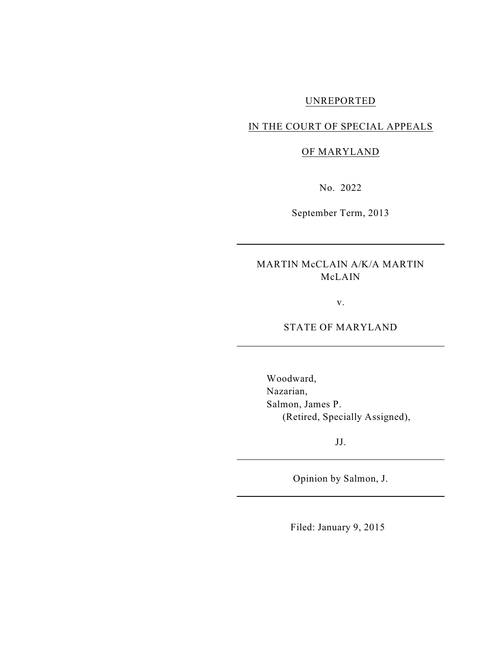# UNREPORTED

#### IN THE COURT OF SPECIAL APPEALS

#### OF MARYLAND

No. 2022

September Term, 2013

MARTIN McCLAIN A/K/A MARTIN McLAIN

v.

STATE OF MARYLAND

Woodward, Nazarian, Salmon, James P. (Retired, Specially Assigned),

JJ.

Opinion by Salmon, J.

Filed: January 9, 2015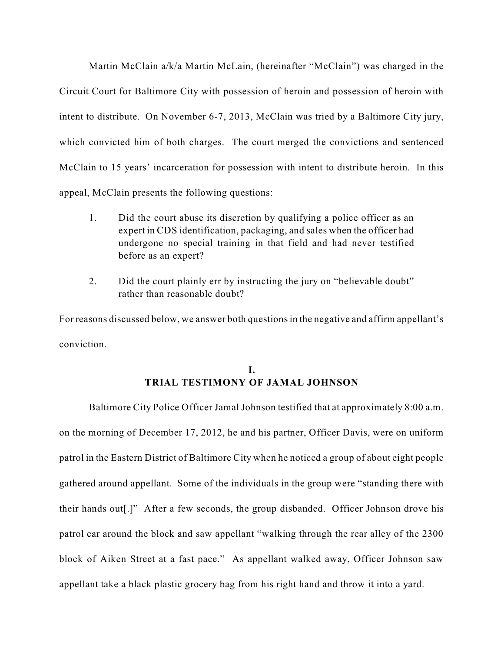Martin McClain a/k/a Martin McLain, (hereinafter "McClain") was charged in the Circuit Court for Baltimore City with possession of heroin and possession of heroin with intent to distribute. On November 6-7, 2013, McClain was tried by a Baltimore City jury, which convicted him of both charges. The court merged the convictions and sentenced McClain to 15 years' incarceration for possession with intent to distribute heroin. In this appeal, McClain presents the following questions:

- 1. Did the court abuse its discretion by qualifying a police officer as an expert in CDS identification, packaging, and sales when the officer had undergone no special training in that field and had never testified before as an expert?
- 2. Did the court plainly err by instructing the jury on "believable doubt" rather than reasonable doubt?

For reasons discussed below, we answer both questionsin the negative and affirm appellant's conviction.

## **I. TRIAL TESTIMONY OF JAMAL JOHNSON**

Baltimore City Police Officer Jamal Johnson testified that at approximately 8:00 a.m. on the morning of December 17, 2012, he and his partner, Officer Davis, were on uniform patrol in the Eastern District of Baltimore City when he noticed a group of about eight people gathered around appellant. Some of the individuals in the group were "standing there with their hands out[.]" After a few seconds, the group disbanded. Officer Johnson drove his patrol car around the block and saw appellant "walking through the rear alley of the 2300 block of Aiken Street at a fast pace." As appellant walked away, Officer Johnson saw appellant take a black plastic grocery bag from his right hand and throw it into a yard.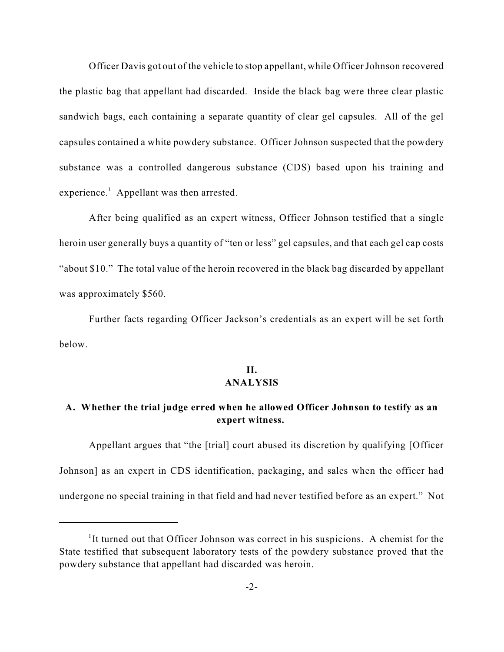Officer Davis got out of the vehicle to stop appellant, while Officer Johnson recovered the plastic bag that appellant had discarded. Inside the black bag were three clear plastic sandwich bags, each containing a separate quantity of clear gel capsules. All of the gel capsules contained a white powdery substance. Officer Johnson suspected that the powdery substance was a controlled dangerous substance (CDS) based upon his training and experience.<sup>1</sup> Appellant was then arrested.

After being qualified as an expert witness, Officer Johnson testified that a single heroin user generally buys a quantity of "ten or less" gel capsules, and that each gel cap costs "about \$10." The total value of the heroin recovered in the black bag discarded by appellant was approximately \$560.

Further facts regarding Officer Jackson's credentials as an expert will be set forth below.

## **II. ANALYSIS**

## **A. Whether the trial judge erred when he allowed Officer Johnson to testify as an expert witness.**

Appellant argues that "the [trial] court abused its discretion by qualifying [Officer Johnson] as an expert in CDS identification, packaging, and sales when the officer had undergone no special training in that field and had never testified before as an expert." Not

<sup>&</sup>lt;sup>1</sup>It turned out that Officer Johnson was correct in his suspicions. A chemist for the State testified that subsequent laboratory tests of the powdery substance proved that the powdery substance that appellant had discarded was heroin.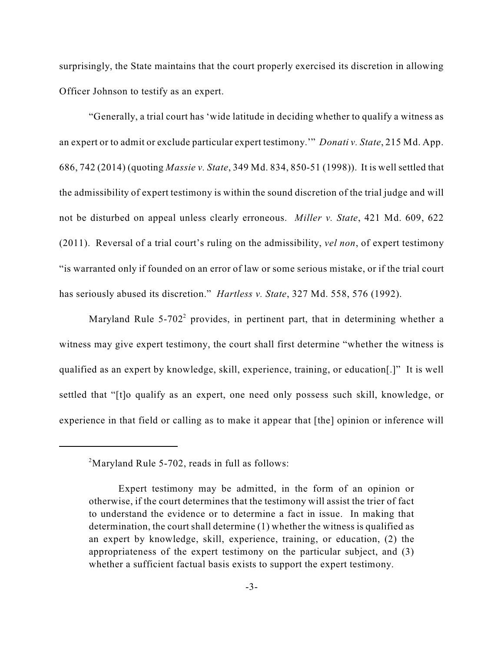surprisingly, the State maintains that the court properly exercised its discretion in allowing Officer Johnson to testify as an expert.

"Generally, a trial court has 'wide latitude in deciding whether to qualify a witness as an expert or to admit or exclude particular expert testimony.'" *Donati v. State*, 215 Md. App. 686, 742 (2014) (quoting *Massie v. State*, 349 Md. 834, 850-51 (1998)). It is well settled that the admissibility of expert testimony is within the sound discretion of the trial judge and will not be disturbed on appeal unless clearly erroneous. *Miller v. State*, 421 Md. 609, 622 (2011). Reversal of a trial court's ruling on the admissibility, *vel non*, of expert testimony "is warranted only if founded on an error of law or some serious mistake, or if the trial court has seriously abused its discretion." *Hartless v. State*, 327 Md. 558, 576 (1992).

Maryland Rule 5-702<sup>2</sup> provides, in pertinent part, that in determining whether a witness may give expert testimony, the court shall first determine "whether the witness is qualified as an expert by knowledge, skill, experience, training, or education[.]" It is well settled that "[t]o qualify as an expert, one need only possess such skill, knowledge, or experience in that field or calling as to make it appear that [the] opinion or inference will

 $2^2$ Maryland Rule 5-702, reads in full as follows:

Expert testimony may be admitted, in the form of an opinion or otherwise, if the court determines that the testimony will assist the trier of fact to understand the evidence or to determine a fact in issue. In making that determination, the court shall determine (1) whether the witness is qualified as an expert by knowledge, skill, experience, training, or education, (2) the appropriateness of the expert testimony on the particular subject, and (3) whether a sufficient factual basis exists to support the expert testimony.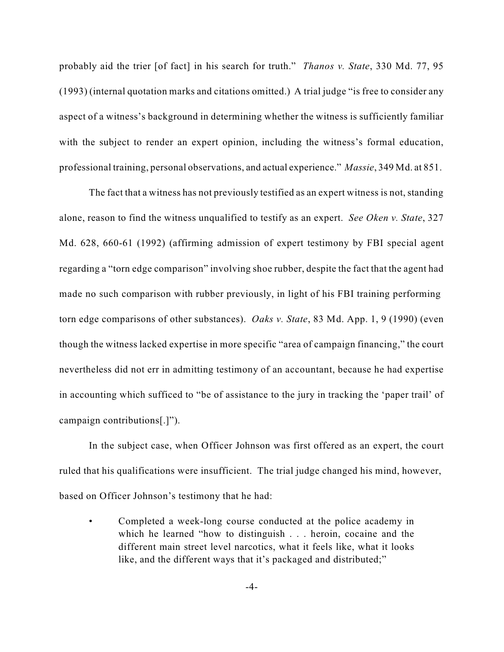probably aid the trier [of fact] in his search for truth." *Thanos v. State*, 330 Md. 77, 95 (1993) (internal quotation marks and citations omitted.) A trial judge "is free to consider any aspect of a witness's background in determining whether the witness is sufficiently familiar with the subject to render an expert opinion, including the witness's formal education, professional training, personal observations, and actual experience." *Massie*, 349 Md. at 851.

The fact that a witness has not previously testified as an expert witness is not, standing alone, reason to find the witness unqualified to testify as an expert. *See Oken v. State*, 327 Md. 628, 660-61 (1992) (affirming admission of expert testimony by FBI special agent regarding a "torn edge comparison" involving shoe rubber, despite the fact that the agent had made no such comparison with rubber previously, in light of his FBI training performing torn edge comparisons of other substances). *Oaks v. State*, 83 Md. App. 1, 9 (1990) (even though the witness lacked expertise in more specific "area of campaign financing," the court nevertheless did not err in admitting testimony of an accountant, because he had expertise in accounting which sufficed to "be of assistance to the jury in tracking the 'paper trail' of campaign contributions[.]").

In the subject case, when Officer Johnson was first offered as an expert, the court ruled that his qualifications were insufficient. The trial judge changed his mind, however, based on Officer Johnson's testimony that he had:

• Completed a week-long course conducted at the police academy in which he learned "how to distinguish . . . heroin, cocaine and the different main street level narcotics, what it feels like, what it looks like, and the different ways that it's packaged and distributed;"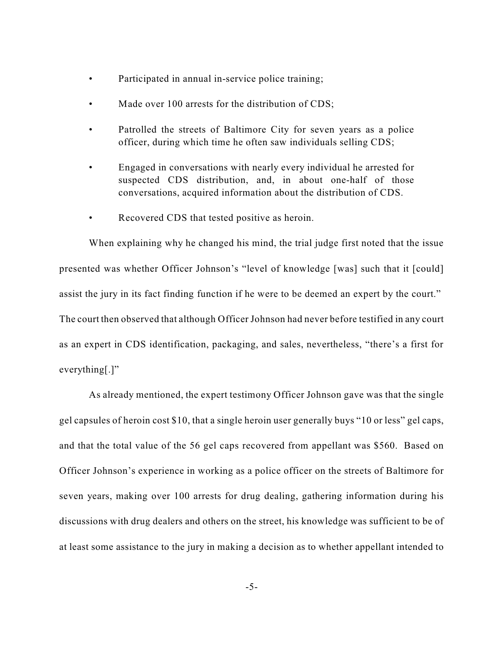- Participated in annual in-service police training;
- Made over 100 arrests for the distribution of CDS;
- Patrolled the streets of Baltimore City for seven years as a police officer, during which time he often saw individuals selling CDS;
- Engaged in conversations with nearly every individual he arrested for suspected CDS distribution, and, in about one-half of those conversations, acquired information about the distribution of CDS.
- Recovered CDS that tested positive as heroin.

When explaining why he changed his mind, the trial judge first noted that the issue presented was whether Officer Johnson's "level of knowledge [was] such that it [could] assist the jury in its fact finding function if he were to be deemed an expert by the court." The court then observed that although Officer Johnson had never before testified in any court as an expert in CDS identification, packaging, and sales, nevertheless, "there's a first for everything[.]"

As already mentioned, the expert testimony Officer Johnson gave was that the single gel capsules of heroin cost \$10, that a single heroin user generally buys "10 or less" gel caps, and that the total value of the 56 gel caps recovered from appellant was \$560. Based on Officer Johnson's experience in working as a police officer on the streets of Baltimore for seven years, making over 100 arrests for drug dealing, gathering information during his discussions with drug dealers and others on the street, his knowledge was sufficient to be of at least some assistance to the jury in making a decision as to whether appellant intended to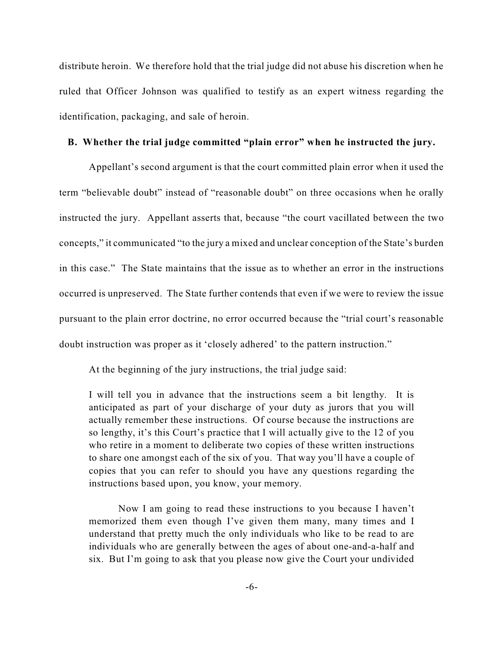distribute heroin. We therefore hold that the trial judge did not abuse his discretion when he ruled that Officer Johnson was qualified to testify as an expert witness regarding the identification, packaging, and sale of heroin.

#### **B. Whether the trial judge committed "plain error" when he instructed the jury.**

Appellant's second argument is that the court committed plain error when it used the term "believable doubt" instead of "reasonable doubt" on three occasions when he orally instructed the jury. Appellant asserts that, because "the court vacillated between the two concepts," it communicated "to the jury a mixed and unclear conception of the State's burden in this case." The State maintains that the issue as to whether an error in the instructions occurred is unpreserved. The State further contends that even if we were to review the issue pursuant to the plain error doctrine, no error occurred because the "trial court's reasonable doubt instruction was proper as it 'closely adhered' to the pattern instruction."

At the beginning of the jury instructions, the trial judge said:

I will tell you in advance that the instructions seem a bit lengthy. It is anticipated as part of your discharge of your duty as jurors that you will actually remember these instructions. Of course because the instructions are so lengthy, it's this Court's practice that I will actually give to the 12 of you who retire in a moment to deliberate two copies of these written instructions to share one amongst each of the six of you. That way you'll have a couple of copies that you can refer to should you have any questions regarding the instructions based upon, you know, your memory.

Now I am going to read these instructions to you because I haven't memorized them even though I've given them many, many times and I understand that pretty much the only individuals who like to be read to are individuals who are generally between the ages of about one-and-a-half and six. But I'm going to ask that you please now give the Court your undivided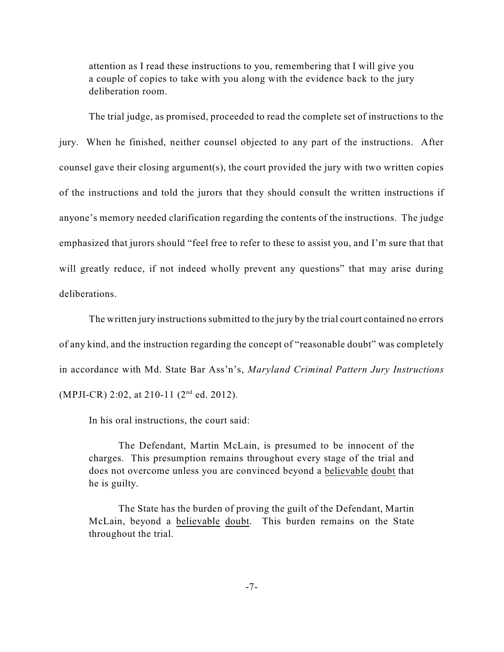attention as I read these instructions to you, remembering that I will give you a couple of copies to take with you along with the evidence back to the jury deliberation room.

The trial judge, as promised, proceeded to read the complete set of instructions to the jury. When he finished, neither counsel objected to any part of the instructions. After counsel gave their closing argument(s), the court provided the jury with two written copies of the instructions and told the jurors that they should consult the written instructions if anyone's memory needed clarification regarding the contents of the instructions. The judge emphasized that jurors should "feel free to refer to these to assist you, and I'm sure that that will greatly reduce, if not indeed wholly prevent any questions" that may arise during deliberations.

The written jury instructions submitted to the jury by the trial court contained no errors of any kind, and the instruction regarding the concept of "reasonable doubt" was completely in accordance with Md. State Bar Ass'n's, *Maryland Criminal Pattern Jury Instructions* (MPJI-CR) 2:02, at 210-11 (2<sup>nd</sup> ed. 2012).

In his oral instructions, the court said:

The Defendant, Martin McLain, is presumed to be innocent of the charges. This presumption remains throughout every stage of the trial and does not overcome unless you are convinced beyond a believable doubt that he is guilty.

The State has the burden of proving the guilt of the Defendant, Martin McLain, beyond a believable doubt. This burden remains on the State throughout the trial.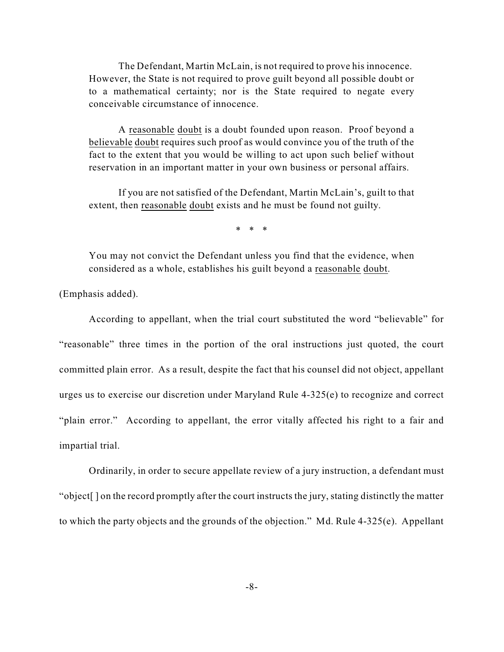The Defendant, Martin McLain, is not required to prove his innocence. However, the State is not required to prove guilt beyond all possible doubt or to a mathematical certainty; nor is the State required to negate every conceivable circumstance of innocence.

A reasonable doubt is a doubt founded upon reason. Proof beyond a believable doubt requires such proof as would convince you of the truth of the fact to the extent that you would be willing to act upon such belief without reservation in an important matter in your own business or personal affairs.

If you are not satisfied of the Defendant, Martin McLain's, guilt to that extent, then reasonable doubt exists and he must be found not guilty.

\* \* \*

You may not convict the Defendant unless you find that the evidence, when considered as a whole, establishes his guilt beyond a reasonable doubt.

(Emphasis added).

According to appellant, when the trial court substituted the word "believable" for "reasonable" three times in the portion of the oral instructions just quoted, the court committed plain error. As a result, despite the fact that his counsel did not object, appellant urges us to exercise our discretion under Maryland Rule 4-325(e) to recognize and correct "plain error." According to appellant, the error vitally affected his right to a fair and impartial trial.

Ordinarily, in order to secure appellate review of a jury instruction, a defendant must "object[ ] on the record promptly after the court instructs the jury, stating distinctly the matter to which the party objects and the grounds of the objection." Md. Rule 4-325(e). Appellant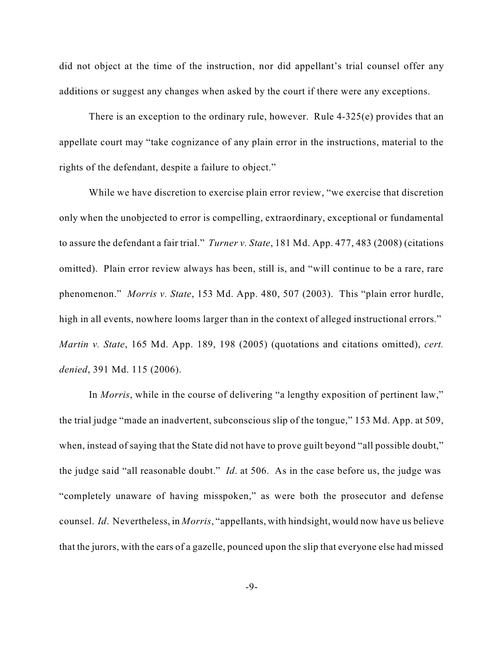did not object at the time of the instruction, nor did appellant's trial counsel offer any additions or suggest any changes when asked by the court if there were any exceptions.

There is an exception to the ordinary rule, however. Rule 4-325(e) provides that an appellate court may "take cognizance of any plain error in the instructions, material to the rights of the defendant, despite a failure to object."

While we have discretion to exercise plain error review, "we exercise that discretion only when the unobjected to error is compelling, extraordinary, exceptional or fundamental to assure the defendant a fair trial." *Turner v. State*, 181 Md. App. 477, 483 (2008) (citations omitted). Plain error review always has been, still is, and "will continue to be a rare, rare phenomenon." *Morris v. State*, 153 Md. App. 480, 507 (2003). This "plain error hurdle, high in all events, nowhere looms larger than in the context of alleged instructional errors." *Martin v. State*, 165 Md. App. 189, 198 (2005) (quotations and citations omitted), *cert. denied*, 391 Md. 115 (2006).

In *Morris*, while in the course of delivering "a lengthy exposition of pertinent law," the trial judge "made an inadvertent, subconscious slip of the tongue," 153 Md. App. at 509, when, instead of saying that the State did not have to prove guilt beyond "all possible doubt," the judge said "all reasonable doubt." *Id*. at 506. As in the case before us, the judge was "completely unaware of having misspoken," as were both the prosecutor and defense counsel. *Id*. Nevertheless, in *Morris*, "appellants, with hindsight, would now have us believe that the jurors, with the ears of a gazelle, pounced upon the slip that everyone else had missed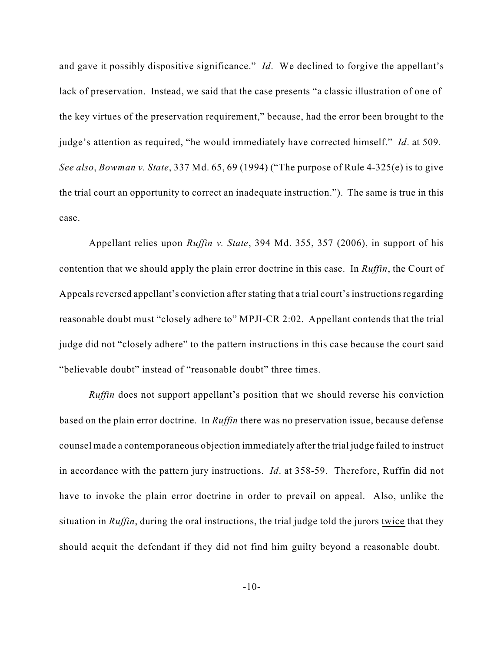and gave it possibly dispositive significance." *Id*. We declined to forgive the appellant's lack of preservation. Instead, we said that the case presents "a classic illustration of one of the key virtues of the preservation requirement," because, had the error been brought to the judge's attention as required, "he would immediately have corrected himself." *Id*. at 509. *See also*, *Bowman v. State*, 337 Md. 65, 69 (1994) ("The purpose of Rule 4-325(e) is to give the trial court an opportunity to correct an inadequate instruction."). The same is true in this case.

Appellant relies upon *Ruffin v. State*, 394 Md. 355, 357 (2006), in support of his contention that we should apply the plain error doctrine in this case. In *Ruffin*, the Court of Appeals reversed appellant's conviction after stating that a trial court's instructions regarding reasonable doubt must "closely adhere to" MPJI-CR 2:02. Appellant contends that the trial judge did not "closely adhere" to the pattern instructions in this case because the court said "believable doubt" instead of "reasonable doubt" three times.

*Ruffin* does not support appellant's position that we should reverse his conviction based on the plain error doctrine. In *Ruffin* there was no preservation issue, because defense counsel made a contemporaneous objection immediately after the trial judge failed to instruct in accordance with the pattern jury instructions. *Id*. at 358-59. Therefore, Ruffin did not have to invoke the plain error doctrine in order to prevail on appeal. Also, unlike the situation in *Ruffin*, during the oral instructions, the trial judge told the jurors twice that they should acquit the defendant if they did not find him guilty beyond a reasonable doubt.